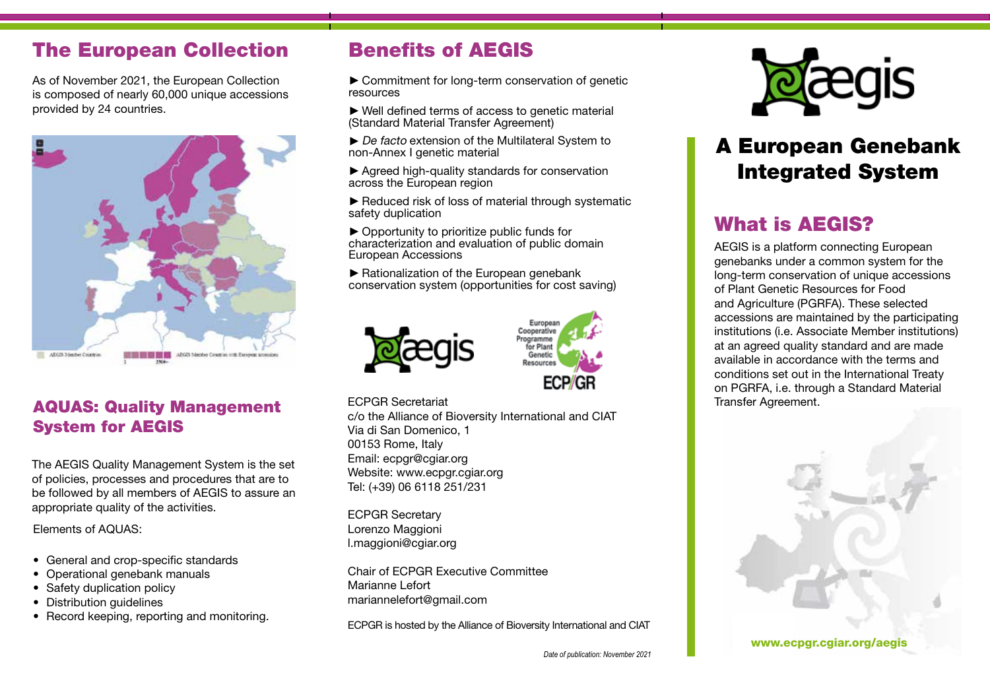## The European Collection

As of November 2021, the European Collection is composed of nearly 60,000 unique accessions provided by 24 countries.



#### AQUAS: Quality Management System for AEGIS

The AEGIS Quality Management System is the set of policies, processes and procedures that are to be followed by all members of AEGIS to assure an appropriate quality of the activities.

Elements of AQUAS:

- General and crop-specific standards
- Operational genebank manuals
- Safety duplication policy
- Distribution guidelines
- Record keeping, reporting and monitoring.

# Benefits of AEGIS

►Commitment for long-term conservation of genetic resources

►Well defined terms of access to genetic material (Standard Material Transfer Agreement)

►De facto extension of the Multilateral System to non-Annex I genetic material

►Agreed high-quality standards for conservation across the European region

► Reduced risk of loss of material through systematic safety duplication

►Opportunity to prioritize public funds for characterization and evaluation of public domain European Accessions

► Rationalization of the European genebank conservation system (opportunities for cost saving)





ECPGR Secretariat

c/o the Alliance of Bioversity International and CIAT Via di San Domenico, 1 00153 Rome, Italy Email: ecpgr@cgiar.org Website: www.ecpgr.cgiar.org Tel: (+39) 06 6118 251/231

ECPGR Secretary Lorenzo Maggioni l.maggioni@cgiar.org

Chair of ECPGR Executive Committee Marianne Lefort mariannelefort@gmail.com

ECPGR is hosted by the Alliance of Bioversity International and CIAT



# A European Genebank Integrated System

# What is AEGIS?

AEGIS is a platform connecting European genebanks under a common system for the long-term conservation of unique accessions of Plant Genetic Resources for Food and Agriculture (PGRFA). These selected accessions are maintained by the participating institutions (i.e. Associate Member institutions) at an agreed quality standard and are made available in accordance with the terms and conditions set out in the International Treaty on PGRFA, i.e. through a Standard Material Transfer Agreement.